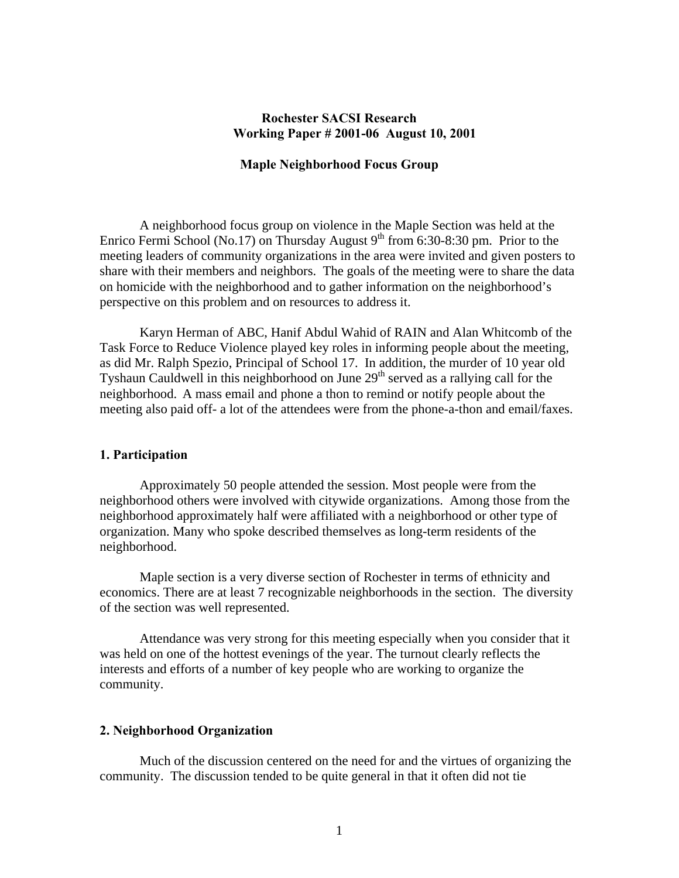# **Rochester SACSI Research Working Paper # 2001-06 August 10, 2001**

## **Maple Neighborhood Focus Group**

 A neighborhood focus group on violence in the Maple Section was held at the Enrico Fermi School (No.17) on Thursday August  $9<sup>th</sup>$  from 6:30-8:30 pm. Prior to the meeting leaders of community organizations in the area were invited and given posters to share with their members and neighbors. The goals of the meeting were to share the data on homicide with the neighborhood and to gather information on the neighborhood's perspective on this problem and on resources to address it.

Karyn Herman of ABC, Hanif Abdul Wahid of RAIN and Alan Whitcomb of the Task Force to Reduce Violence played key roles in informing people about the meeting, as did Mr. Ralph Spezio, Principal of School 17. In addition, the murder of 10 year old Tyshaun Cauldwell in this neighborhood on June 29<sup>th</sup> served as a rallying call for the neighborhood. A mass email and phone a thon to remind or notify people about the meeting also paid off- a lot of the attendees were from the phone-a-thon and email/faxes.

#### **1. Participation**

Approximately 50 people attended the session. Most people were from the neighborhood others were involved with citywide organizations. Among those from the neighborhood approximately half were affiliated with a neighborhood or other type of organization. Many who spoke described themselves as long-term residents of the neighborhood.

Maple section is a very diverse section of Rochester in terms of ethnicity and economics. There are at least 7 recognizable neighborhoods in the section. The diversity of the section was well represented.

 Attendance was very strong for this meeting especially when you consider that it was held on one of the hottest evenings of the year. The turnout clearly reflects the interests and efforts of a number of key people who are working to organize the community.

# **2. Neighborhood Organization**

Much of the discussion centered on the need for and the virtues of organizing the community. The discussion tended to be quite general in that it often did not tie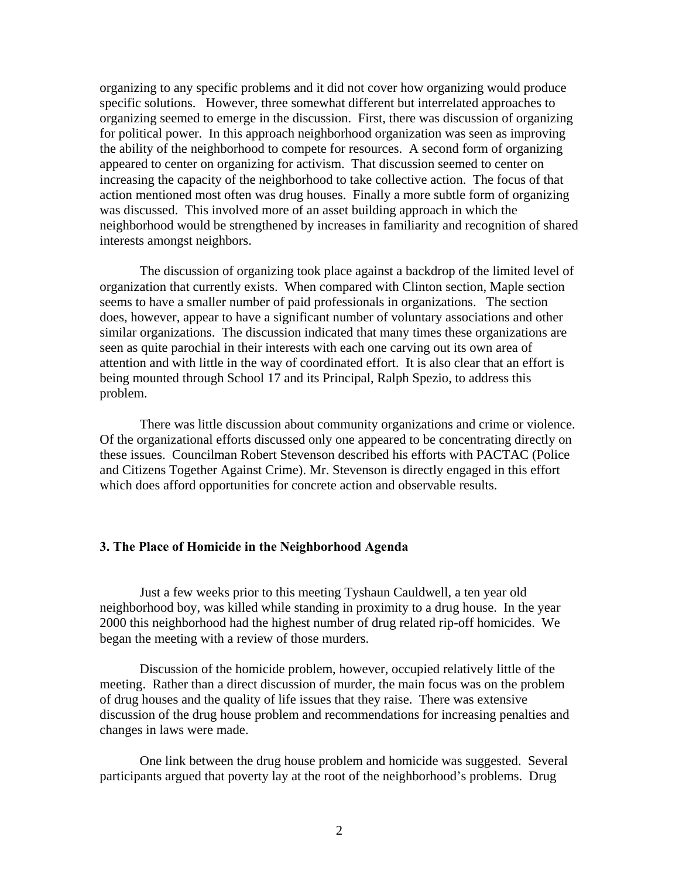organizing to any specific problems and it did not cover how organizing would produce specific solutions. However, three somewhat different but interrelated approaches to organizing seemed to emerge in the discussion. First, there was discussion of organizing for political power. In this approach neighborhood organization was seen as improving the ability of the neighborhood to compete for resources. A second form of organizing appeared to center on organizing for activism. That discussion seemed to center on increasing the capacity of the neighborhood to take collective action. The focus of that action mentioned most often was drug houses. Finally a more subtle form of organizing was discussed. This involved more of an asset building approach in which the neighborhood would be strengthened by increases in familiarity and recognition of shared interests amongst neighbors.

 The discussion of organizing took place against a backdrop of the limited level of organization that currently exists. When compared with Clinton section, Maple section seems to have a smaller number of paid professionals in organizations. The section does, however, appear to have a significant number of voluntary associations and other similar organizations. The discussion indicated that many times these organizations are seen as quite parochial in their interests with each one carving out its own area of attention and with little in the way of coordinated effort. It is also clear that an effort is being mounted through School 17 and its Principal, Ralph Spezio, to address this problem.

 There was little discussion about community organizations and crime or violence. Of the organizational efforts discussed only one appeared to be concentrating directly on these issues. Councilman Robert Stevenson described his efforts with PACTAC (Police and Citizens Together Against Crime). Mr. Stevenson is directly engaged in this effort which does afford opportunities for concrete action and observable results.

#### **3. The Place of Homicide in the Neighborhood Agenda**

Just a few weeks prior to this meeting Tyshaun Cauldwell, a ten year old neighborhood boy, was killed while standing in proximity to a drug house. In the year 2000 this neighborhood had the highest number of drug related rip-off homicides. We began the meeting with a review of those murders.

 Discussion of the homicide problem, however, occupied relatively little of the meeting. Rather than a direct discussion of murder, the main focus was on the problem of drug houses and the quality of life issues that they raise. There was extensive discussion of the drug house problem and recommendations for increasing penalties and changes in laws were made.

 One link between the drug house problem and homicide was suggested. Several participants argued that poverty lay at the root of the neighborhood's problems. Drug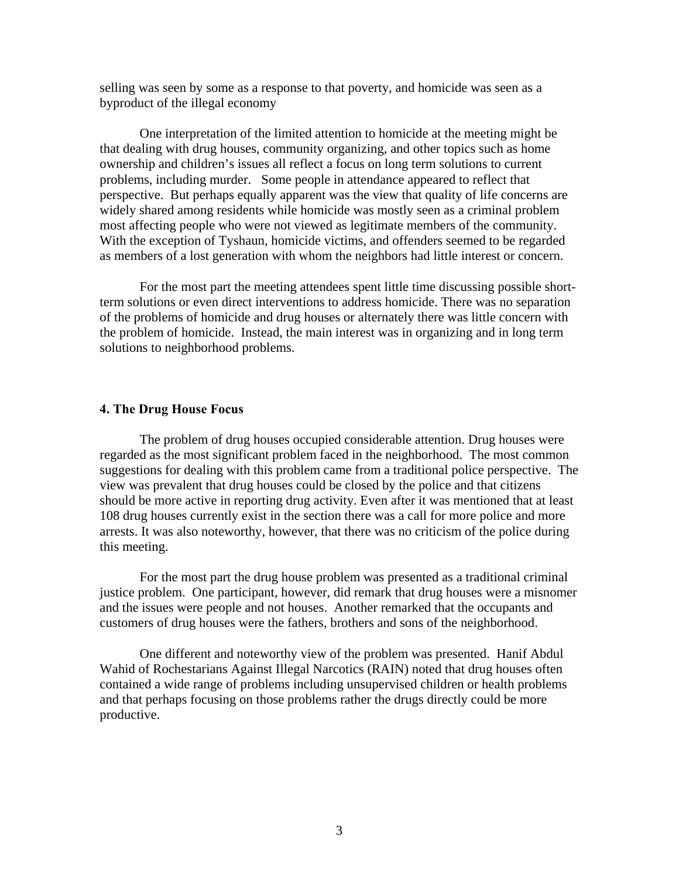selling was seen by some as a response to that poverty, and homicide was seen as a byproduct of the illegal economy

 One interpretation of the limited attention to homicide at the meeting might be that dealing with drug houses, community organizing, and other topics such as home ownership and children's issues all reflect a focus on long term solutions to current problems, including murder. Some people in attendance appeared to reflect that perspective. But perhaps equally apparent was the view that quality of life concerns are widely shared among residents while homicide was mostly seen as a criminal problem most affecting people who were not viewed as legitimate members of the community. With the exception of Tyshaun, homicide victims, and offenders seemed to be regarded as members of a lost generation with whom the neighbors had little interest or concern.

 For the most part the meeting attendees spent little time discussing possible shortterm solutions or even direct interventions to address homicide. There was no separation of the problems of homicide and drug houses or alternately there was little concern with the problem of homicide. Instead, the main interest was in organizing and in long term solutions to neighborhood problems.

## **4. The Drug House Focus**

 The problem of drug houses occupied considerable attention. Drug houses were regarded as the most significant problem faced in the neighborhood. The most common suggestions for dealing with this problem came from a traditional police perspective. The view was prevalent that drug houses could be closed by the police and that citizens should be more active in reporting drug activity. Even after it was mentioned that at least 108 drug houses currently exist in the section there was a call for more police and more arrests. It was also noteworthy, however, that there was no criticism of the police during this meeting.

 For the most part the drug house problem was presented as a traditional criminal justice problem. One participant, however, did remark that drug houses were a misnomer and the issues were people and not houses. Another remarked that the occupants and customers of drug houses were the fathers, brothers and sons of the neighborhood.

 One different and noteworthy view of the problem was presented. Hanif Abdul Wahid of Rochestarians Against Illegal Narcotics (RAIN) noted that drug houses often contained a wide range of problems including unsupervised children or health problems and that perhaps focusing on those problems rather the drugs directly could be more productive.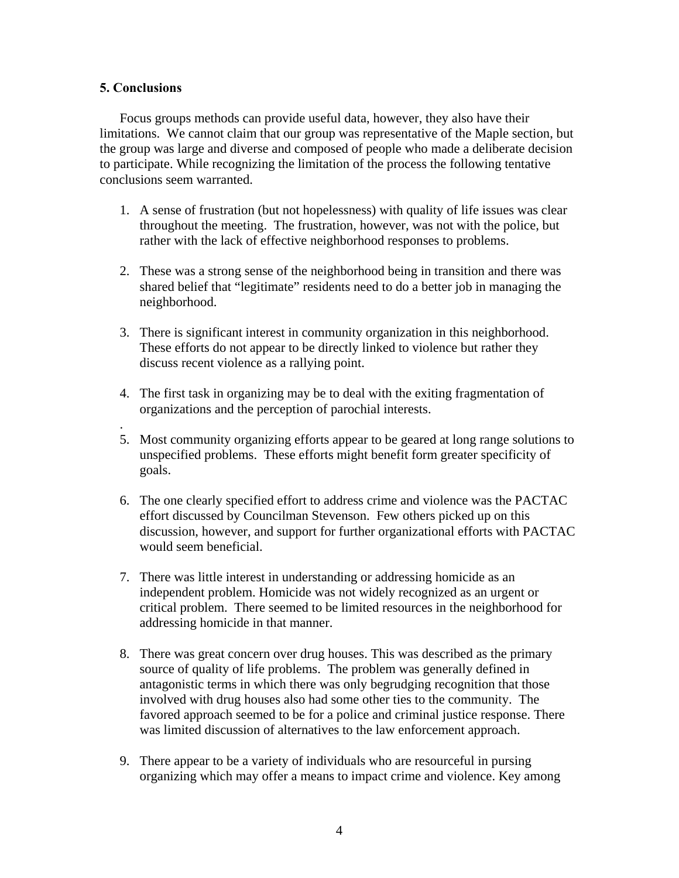# **5. Conclusions**

.

Focus groups methods can provide useful data, however, they also have their limitations. We cannot claim that our group was representative of the Maple section, but the group was large and diverse and composed of people who made a deliberate decision to participate. While recognizing the limitation of the process the following tentative conclusions seem warranted.

- 1. A sense of frustration (but not hopelessness) with quality of life issues was clear throughout the meeting. The frustration, however, was not with the police, but rather with the lack of effective neighborhood responses to problems.
- 2. These was a strong sense of the neighborhood being in transition and there was shared belief that "legitimate" residents need to do a better job in managing the neighborhood.
- 3. There is significant interest in community organization in this neighborhood. These efforts do not appear to be directly linked to violence but rather they discuss recent violence as a rallying point.
- 4. The first task in organizing may be to deal with the exiting fragmentation of organizations and the perception of parochial interests.
- 5. Most community organizing efforts appear to be geared at long range solutions to unspecified problems. These efforts might benefit form greater specificity of goals.
- 6. The one clearly specified effort to address crime and violence was the PACTAC effort discussed by Councilman Stevenson. Few others picked up on this discussion, however, and support for further organizational efforts with PACTAC would seem beneficial.
- 7. There was little interest in understanding or addressing homicide as an independent problem. Homicide was not widely recognized as an urgent or critical problem. There seemed to be limited resources in the neighborhood for addressing homicide in that manner.
- 8. There was great concern over drug houses. This was described as the primary source of quality of life problems. The problem was generally defined in antagonistic terms in which there was only begrudging recognition that those involved with drug houses also had some other ties to the community. The favored approach seemed to be for a police and criminal justice response. There was limited discussion of alternatives to the law enforcement approach.
- 9. There appear to be a variety of individuals who are resourceful in pursing organizing which may offer a means to impact crime and violence. Key among